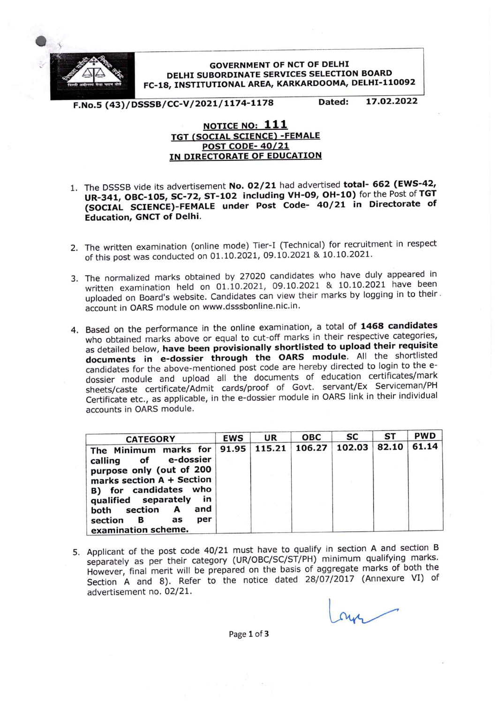

**GOVERNMENT OF NCT OF DELHI** DELHI SUBORDINATE SERVICES SELECTION BOARD FC-18, INSTITUTIONAL AREA, KARKARDOOMA, DELHI-110092

17.02.2022

Dated: F.No.5 (43)/DSSSB/CC-V/2021/1174-1178

## NOTICE NO: 111 TGT (SOCIAL SCIENCE) -FEMALE POST CODE-40/21 IN DIRECTORATE OF EDUCATION

- 1. The DSSSB vide its advertisement No. 02/21 had advertised total-662 (EWS-42, uR-341, OBC-105, SC-72, ST-102 including VH-09, OH-10) for the Post of Tat (SOCIAL SCIENCE)-FEMALE under Post Code- 40/21 in Directorate of Education, GNCT of Delhi.
- 2. The written examination (online mode) Tier-I (Technical) for recruitment in respect of this post was conducted on 01.10.2021, 09.10.2021 & 10.10.2021.
- 3. The normalized marks obtained by 27020 candidates who have duly appeared in written examination held on 01.10.2021, 09.10.2021 & 10.10.2021 have been uploaded on Board's website. Candidates can view their marks by logging in to their. account in OARS module on www.dsssbonline.nic.in.
- 4. Based on the performance in the online examination, a total of 1468 candidates who obtained marks above or equal to cut-off marks in their respective categories, as detailed below, have been provisionally shortlisted to upload their requisite documents in e-dossier through the OARS module. All the shortlisted candidates for the above-mentioned post code are hereby directed to login to the edossier module and upload all the documents of education certificates/mark sheets/caste certificate/Admit cards/proof of Govt. servant/Ex Serviceman/PH Certificate etc., as applicable, in the e-dossier module in OARS link in their individual accounts in OARS module.

| <b>CATEGORY</b>                                                                                                                                                                                                                               | <b>EWS</b> | UR     | ОВС    | SC     | ST    | <b>PWD</b> |
|-----------------------------------------------------------------------------------------------------------------------------------------------------------------------------------------------------------------------------------------------|------------|--------|--------|--------|-------|------------|
| The Minimum marks for<br>calling of e-dossier<br>purpose only (out of 200<br>marks section A + Section<br>B) for candidates who<br>qualified separately<br>in<br>and<br>both section<br>A<br>per<br>section<br>в<br>as<br>examination scheme. | 91.95      | 115.21 | 106.27 | 102.03 | 82.10 | 61.14      |

5. Applicant of the post code 40/21 must have to qualify in section A and section B separately as per their category (uR/OBC/SC/ST/PH) minimum qualifying marks. However, final merit will be prepared on the basis of aggregate marks of both the Section A and 8). Refer to the notice dated  $28/07/2017$  (Annexure VI) of advertisement no. 02/21. advertisement no. 02/21.

Page 1 of 3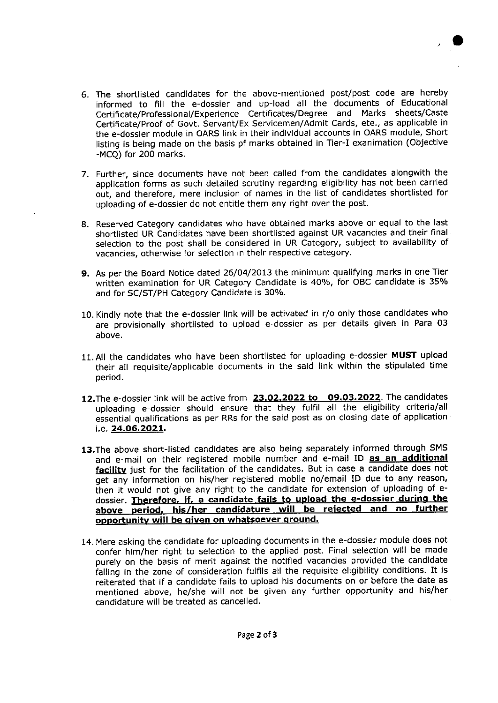- 6. The shortlisted candidates for the above-mentioned post/post code are hereby informed to fill the e-dossier and up-load all the documents of Educational Certificate/Professional/Experience Certificates/Degree and Marks sheets/Caste Certificate/Proof of Govt. Servant/Ex Servicemen/Admit Cards, ete., as appllcable in the e-dossier module in OARS link in their individual accounts in OARS module, Short listing is being made on the basis pf marks obtained in Tier-I exanimation (Objective -MCQ) for 200 marks.
- 7. Further, since documents have not been called from the candidates alongwith the application forms as such detailed scrutiny regarding eligibility has not been carried out, and therefore, mere inclusion of names in the list of candidates shortlisted for uploading of e-dossier do not entitle them any right over the post.
- 8. Reserved Category candidates who have obtained marks above or equal to the last shortlisted uR Candidates have been shortlisted against UR vacancies and their final selection to the post shall be considered in UR Category, subject to availability of vacancies, otherwise for selection in their respective category.
- 9. As per the Board Notice dated 26/04/2013 the minimum qualifying marks in one Tier written examination for UR Category Candidate is 40%, for OBC candidate is 35% and for SC/ST/PH Category Candidate is 30%.
- 10. Kindly note that the e-dossler link will be activated in r/o only those candidates who are provisionally shortlisted to upload e-dossier as per details given in Para 03 above.
- 11. All the candidates who have been shortlisted for uploading e-dossier MUST upload their all requisite/applicable documents ln the said link within the stipulated time period.
- 12. The e-dossier link will be active from 23.02.2022 to 09.03.2022. The candidates uploading e-dossier should ensure that they fulfil all the eligibility criteria/all essential qualifications as per RRs for the said post as on closing date of application i.e. 24.06.2021.
- 13. The above short-listed candidates are also being separately informed through SMS and e-mail on their registered mobile number and e-mail ID as an additional facility just for the facilitation of the candidates. But in case a candidate does not get any information on his/her registered mobile no/email ID due to any reason, then it would not give any right to the candidate for extension of uploading of edossier. Therefore, if, a candidate fails to upload the e-dossier during the above period, his/her candidature will be rejected and no further opportunity will be given on whatsoever ground.
- 14. Mere asking the candidate for uploading documents in the e-dossier module does not confer him/her right to selection to the applied post. Final selection will be made purely on the basis of merit against the notified vacancies provided the candidate falling in the zone of consideration fulfils all the requisite eligibility conditions. It is reiterated that if a candidate fails to upload his documents on or before the date as mentioned above, he/she will not be given any further opportunity and his/her candidature will be treated as cancelled.